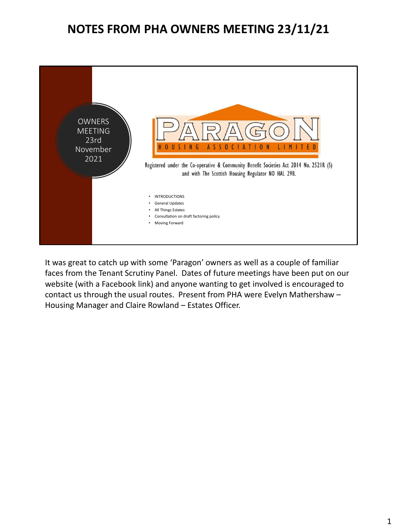## **NOTES FROM PHA OWNERS MEETING 23/11/21**



It was great to catch up with some 'Paragon' owners as well as a couple of familiar faces from the Tenant Scrutiny Panel. Dates of future meetings have been put on our website (with a Facebook link) and anyone wanting to get involved is encouraged to contact us through the usual routes. Present from PHA were Evelyn Mathershaw – Housing Manager and Claire Rowland – Estates Officer.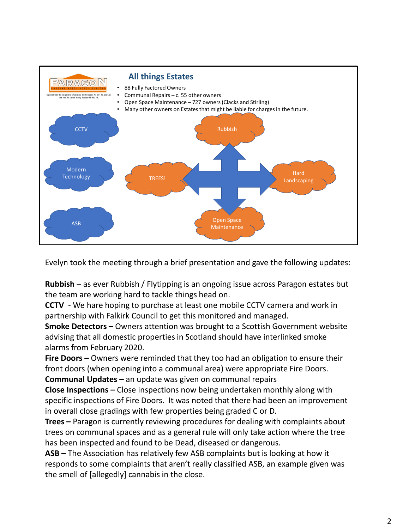

Evelyn took the meeting through a brief presentation and gave the following updates:

**Rubbish** – as ever Rubbish / Flytipping is an ongoing issue across Paragon estates but the team are working hard to tackle things head on.

**CCTV** - We hare hoping to purchase at least one mobile CCTV camera and work in partnership with Falkirk Council to get this monitored and managed.

**Smoke Detectors –** Owners attention was brought to a Scottish Government website advising that all domestic properties in Scotland should have interlinked smoke alarms from February 2020.

**Fire Doors –** Owners were reminded that they too had an obligation to ensure their front doors (when opening into a communal area) were appropriate Fire Doors.

**Communal Updates –** an update was given on communal repairs

**Close Inspections –** Close inspections now being undertaken monthly along with specific inspections of Fire Doors. It was noted that there had been an improvement in overall close gradings with few properties being graded C or D.

**Trees –** Paragon is currently reviewing procedures for dealing with complaints about trees on communal spaces and as a general rule will only take action where the tree has been inspected and found to be Dead, diseased or dangerous.

**ASB –** The Association has relatively few ASB complaints but is looking at how it responds to some complaints that aren't really classified ASB, an example given was the smell of [allegedly] cannabis in the close.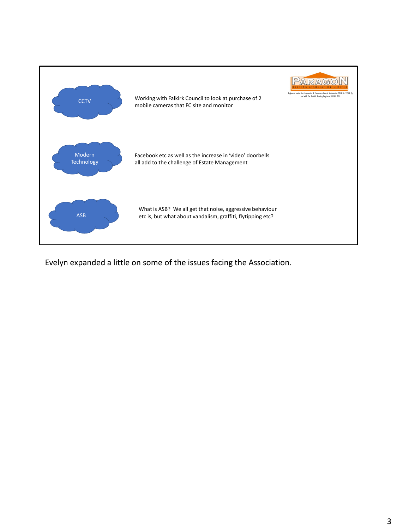

Evelyn expanded a little on some of the issues facing the Association.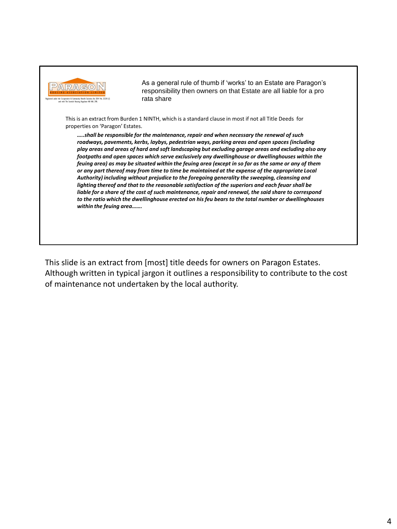

As a general rule of thumb if 'works' to an Estate are Paragon's responsibility then owners on that Estate are all liable for a pro rata share

This is an extract from Burden 1 NINTH, which is a standard clause in most if not all Title Deeds for properties on 'Paragon' Estates.

*…..shall be responsible for the maintenance, repair and when necessary the renewal of such roadways, pavements, kerbs, laybys, pedestrian ways, parking areas and open spaces (including play areas and areas of hard and soft landscaping but excluding garage areas and excluding also any footpaths and open spaces which serve exclusively any dwellinghouse or dwellinghouses within the feuing area) as may be situated within the feuing area (except in so far as the same or any of them or any part thereof may from time to time be maintained at the expense of the appropriate Local Authority) including without prejudice to the foregoing generality the sweeping, cleansing and lighting thereof and that to the reasonable satisfaction of the superiors and each feuar shall be liable for a share of the cost of such maintenance, repair and renewal, the said share to correspond to the ratio which the dwellinghouse erected on his feu bears to the total number or dwellinghouses within the feuing area…….*

This slide is an extract from [most] title deeds for owners on Paragon Estates. Although written in typical jargon it outlines a responsibility to contribute to the cost of maintenance not undertaken by the local authority.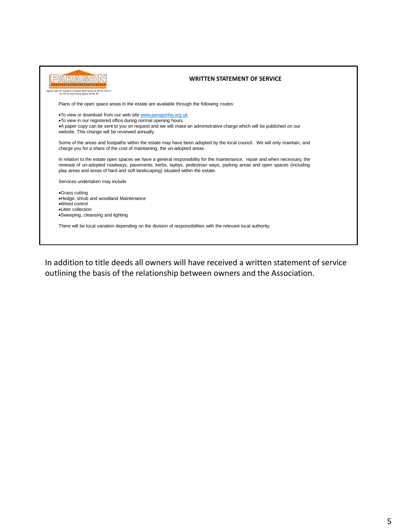| Registered under the Co-operative & Community Benefit Societies Act 2014 No. 2521R (S)<br>and with The Scottish Housing Regulator NO HAL 298.                                     | <b>WRITTEN STATEMENT OF SERVICE</b>                                                                                                                                                                                                               |
|-----------------------------------------------------------------------------------------------------------------------------------------------------------------------------------|---------------------------------------------------------------------------------------------------------------------------------------------------------------------------------------------------------------------------------------------------|
| Plans of the open space areas in the estate are available through the following routes:                                                                                           |                                                                                                                                                                                                                                                   |
| . To view or download from our web site www.paragonha.org.uk<br>. To view in our registered office during normal opening hours<br>website. This change will be reviewed annually. | •A paper copy can be sent to you on request and we will make an administrative charge which will be published on our                                                                                                                              |
| charge you for a share of the cost of maintaining, the un-adopted areas.                                                                                                          | Some of the areas and footpaths within the estate may have been adopted by the local council. We will only maintain, and                                                                                                                          |
| play areas and areas of hard and soft landscaping) situated within the estate.                                                                                                    | In relation to the estate open spaces we have a general responsibility for the maintenance, repair and when necessary, the<br>renewal of un-adopted roadways, pavements, kerbs, laybys, pedestrian ways, parking areas and open spaces (including |
| Services undertaken may include                                                                                                                                                   |                                                                                                                                                                                                                                                   |
| •Grass cutting<br>.Hedge, shrub and woodland Maintenance<br>•Weed control<br>·Litter collection<br>•Sweeping, cleansing and lighting                                              |                                                                                                                                                                                                                                                   |
|                                                                                                                                                                                   | There will be local variation depending on the division of responsibilities with the relevant local authority.                                                                                                                                    |

In addition to title deeds all owners will have received a written statement of service outlining the basis of the relationship between owners and the Association.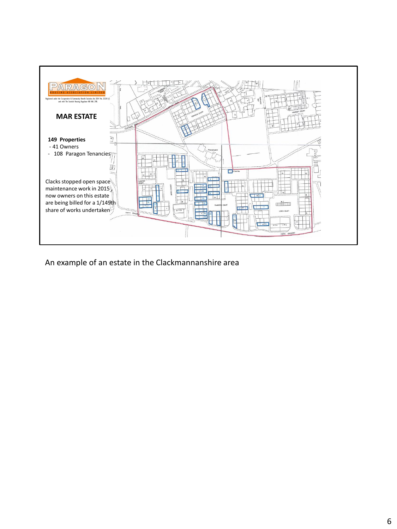

An example of an estate in the Clackmannanshire area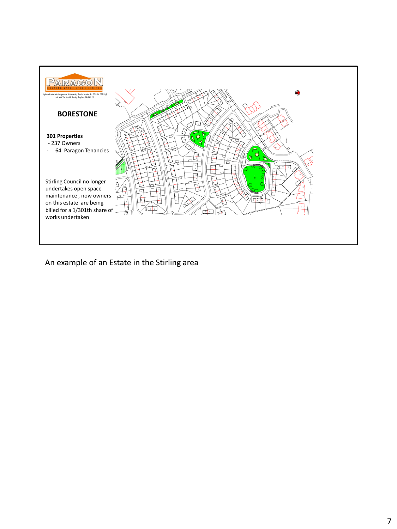

An example of an Estate in the Stirling area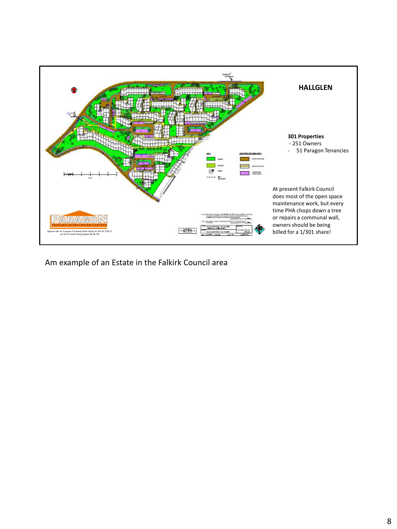

Am example of an Estate in the Falkirk Council area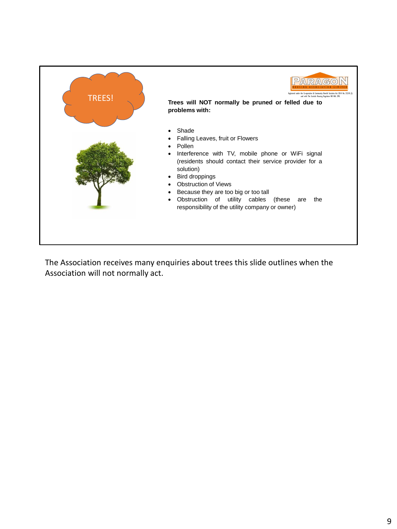

The Association receives many enquiries about trees this slide outlines when the Association will not normally act.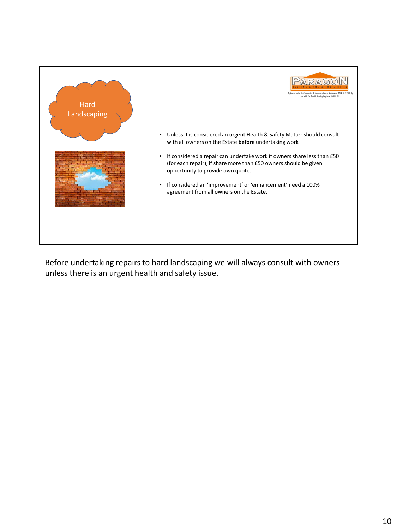

Before undertaking repairs to hard landscaping we will always consult with owners unless there is an urgent health and safety issue.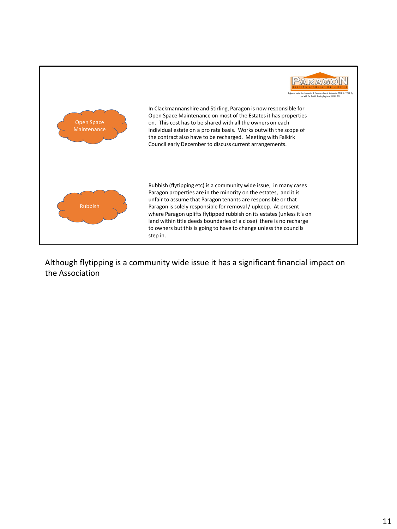

Although flytipping is a community wide issue it has a significant financial impact on the Association